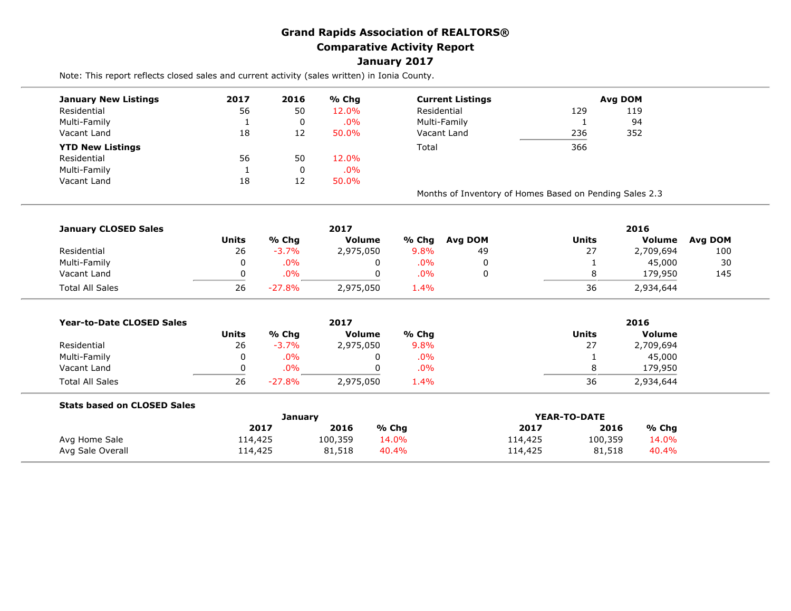## **Grand Rapids Association of REALTORS® Comparative Activity Report January 2017**

Note: This report reflects closed sales and current activity (sales written) in Ionia County.

| <b>January New Listings</b> | 2017 | 2016                                                             | % Chg  | <b>Current Listings</b>                                 | <b>Avg DOM</b> |     |  |  |  |     |  |    |  |  |
|-----------------------------|------|------------------------------------------------------------------|--------|---------------------------------------------------------|----------------|-----|--|--|--|-----|--|----|--|--|
| Residential                 | 56   | 50                                                               | 12.0%  | Residential                                             | 129            | 119 |  |  |  |     |  |    |  |  |
| Multi-Family                |      | Multi-Family<br>$.0\%$<br>0<br>236<br>50.0%<br>Vacant Land<br>12 |        |                                                         |                |     |  |  |  |     |  | 94 |  |  |
| Vacant Land                 | 18   |                                                                  |        |                                                         |                |     |  |  |  | 352 |  |    |  |  |
| <b>YTD New Listings</b>     |      |                                                                  |        | Total                                                   | 366            |     |  |  |  |     |  |    |  |  |
| Residential                 | 56   | 50                                                               | 12.0%  |                                                         |                |     |  |  |  |     |  |    |  |  |
| Multi-Family                |      | 0                                                                | $.0\%$ |                                                         |                |     |  |  |  |     |  |    |  |  |
| Vacant Land                 | 18   | 12                                                               | 50.0%  |                                                         |                |     |  |  |  |     |  |    |  |  |
|                             |      |                                                                  |        | Months of Inventory of Homes Based on Pending Sales 2.3 |                |     |  |  |  |     |  |    |  |  |

| <b>January CLOSED Sales</b> |       |          | 2017          |       |         | 2016         |           |         |  |
|-----------------------------|-------|----------|---------------|-------|---------|--------------|-----------|---------|--|
|                             | Units | % Chg    | <b>Volume</b> | % Chg | Avg DOM | <b>Units</b> | Volume    | Avg DOM |  |
| Residential                 | 26    | $-3.7%$  | 2,975,050     | 9.8%  | 49      | 27           | 2,709,694 | 100     |  |
| Multi-Family                | 0     | $.0\%$   | 0             | .0%   |         |              | 45,000    | 30      |  |
| Vacant Land                 |       | $.0\%$   | 0             | .0%   |         |              | 179,950   | 145     |  |
| <b>Total All Sales</b>      | 26    | $-27.8%$ | 2,975,050     | 1.4%  |         | 36           | 2,934,644 |         |  |

| <b>Year-to-Date CLOSED Sales</b> |       |          | 2017          |       | 2016                   |
|----------------------------------|-------|----------|---------------|-------|------------------------|
|                                  | Units | % Chg    | <b>Volume</b> | % Chq | Units<br><b>Volume</b> |
| Residential                      | 26    | $-3.7%$  | 2,975,050     | 9.8%  | 27<br>2,709,694        |
| Multi-Family                     | 0     | .0%      | 0             | .0%   | 45,000                 |
| Vacant Land                      |       | .0%      | 0             | .0%   | 179,950                |
| <b>Total All Sales</b>           | 26    | $-27.8%$ | 2,975,050     | 1.4%  | 36<br>2,934,644        |

| <b>Stats based on CLOSED Sales</b> |         |         |       |         |              |       |
|------------------------------------|---------|---------|-------|---------|--------------|-------|
|                                    |         | Januarv |       |         | YEAR-TO-DATE |       |
|                                    | 2017    | 2016    | % Chg | 2017    | 2016         | % Cha |
| Avg Home Sale                      | 114,425 | 100,359 | 14.0% | 114,425 | 100,359      | 14.0% |
| Avg Sale Overall                   | 114,425 | 81,518  | 40.4% | 114,425 | 81,518       | 40.4% |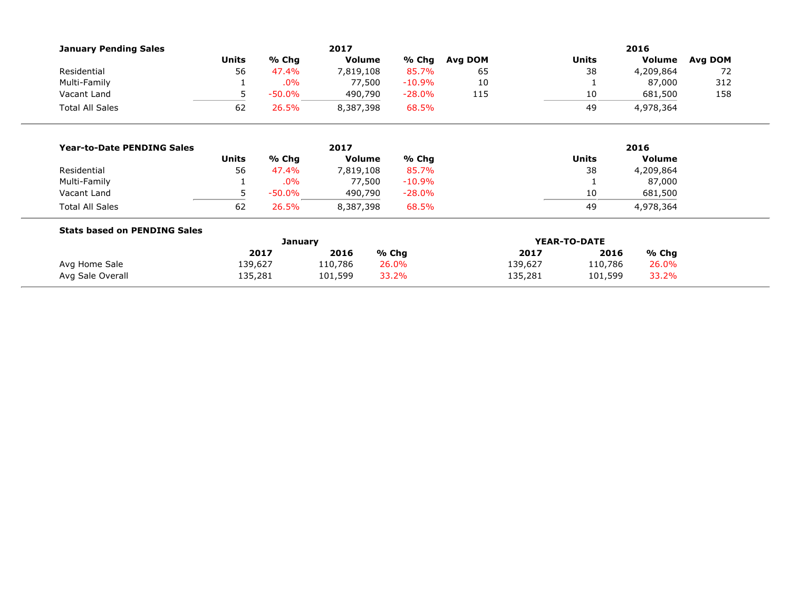| <b>January Pending Sales</b>        |              |           | 2017          |           |         |              |              | 2016          |         |  |
|-------------------------------------|--------------|-----------|---------------|-----------|---------|--------------|--------------|---------------|---------|--|
|                                     | <b>Units</b> | % Chg     | <b>Volume</b> | % Chg     | Avg DOM |              | <b>Units</b> | Volume        | Avg DOM |  |
| Residential                         | 56           | 47.4%     | 7,819,108     | 85.7%     | 65      |              | 38           | 4,209,864     | 72      |  |
| Multi-Family                        |              | .0%       | 77,500        | $-10.9%$  | 10      |              |              | 87,000        | 312     |  |
| Vacant Land                         | 5            | $-50.0\%$ | 490,790       | $-28.0\%$ | 115     |              | 10           | 681,500       | 158     |  |
| <b>Total All Sales</b>              | 62           | 26.5%     | 8,387,398     | 68.5%     |         |              | 49           | 4,978,364     |         |  |
|                                     |              |           |               |           |         |              |              |               |         |  |
| <b>Year-to-Date PENDING Sales</b>   | 2017         |           |               |           |         | 2016         |              |               |         |  |
|                                     | <b>Units</b> | % Chg     | <b>Volume</b> | % Chg     |         |              | <b>Units</b> | <b>Volume</b> |         |  |
| Residential                         | 56           | 47.4%     | 7,819,108     | 85.7%     |         |              | 38           | 4,209,864     |         |  |
| Multi-Family                        |              | .0%       | 77,500        | $-10.9\%$ |         |              |              | 87,000        |         |  |
| Vacant Land                         | 5            | $-50.0%$  | 490,790       | $-28.0\%$ |         |              | 10           | 681,500       |         |  |
| <b>Total All Sales</b>              | 62           | 26.5%     | 8,387,398     | 68.5%     |         |              | 49           | 4,978,364     |         |  |
| <b>Stats based on PENDING Sales</b> |              |           |               |           |         |              |              |               |         |  |
|                                     | January      |           |               |           |         | YEAR-TO-DATE |              |               |         |  |
|                                     |              | 2017      | 2016          | % Chg     |         | 2017         | 2016         | $%$ Chg       |         |  |
| Avg Home Sale                       | 139,627      |           | 110,786       | 26.0%     |         | 139,627      | 110,786      | 26.0%         |         |  |
| Avg Sale Overall                    | 135,281      |           | 101,599       | 33.2%     |         | 135,281      | 101,599      | 33.2%         |         |  |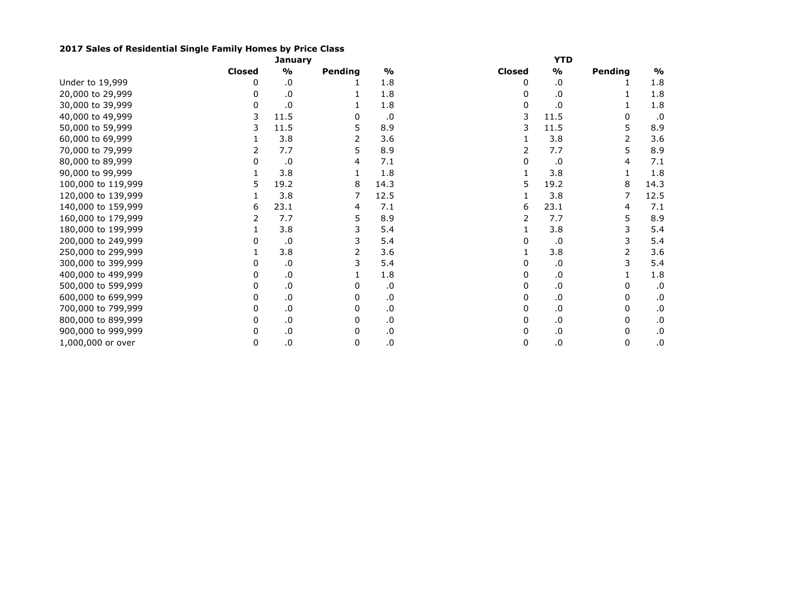## **2017 Sales of Residential Single Family Homes by Price Class**

|                    |               | <b>YTD</b>    |         |                  |               |      |         |               |
|--------------------|---------------|---------------|---------|------------------|---------------|------|---------|---------------|
|                    | <b>Closed</b> | $\frac{1}{2}$ | Pending | $\frac{9}{6}$    | <b>Closed</b> | %    | Pending | $\frac{1}{2}$ |
| Under to 19,999    |               | .0            |         | 1.8              | 0             | .0   |         | 1.8           |
| 20,000 to 29,999   |               | .0            |         | 1.8              | U             | .0   |         | 1.8           |
| 30,000 to 39,999   | 0             | .0            |         | 1.8              | 0             | .0   |         | 1.8           |
| 40,000 to 49,999   | 3             | 11.5          | 0       | .0               | 3             | 11.5 | 0       | .0            |
| 50,000 to 59,999   | 3             | 11.5          | 5       | 8.9              | 3             | 11.5 | 5       | 8.9           |
| 60,000 to 69,999   |               | 3.8           |         | 3.6              |               | 3.8  | 2       | 3.6           |
| 70,000 to 79,999   |               | 7.7           | 5       | 8.9              |               | 7.7  | 5       | 8.9           |
| 80,000 to 89,999   |               | .0            | 4       | 7.1              |               | .0   |         | 7.1           |
| 90,000 to 99,999   |               | 3.8           |         | 1.8              |               | 3.8  |         | 1.8           |
| 100,000 to 119,999 | 5.            | 19.2          | 8       | 14.3             | 5             | 19.2 | 8       | 14.3          |
| 120,000 to 139,999 |               | 3.8           | 7       | 12.5             |               | 3.8  |         | 12.5          |
| 140,000 to 159,999 | 6             | 23.1          | 4       | 7.1              | 6             | 23.1 | 4       | 7.1           |
| 160,000 to 179,999 |               | 7.7           | 5       | 8.9              |               | 7.7  | 5       | 8.9           |
| 180,000 to 199,999 |               | 3.8           | 3       | 5.4              |               | 3.8  | 3       | 5.4           |
| 200,000 to 249,999 |               | $\cdot$       | 3       | 5.4              |               | .0   | 3       | 5.4           |
| 250,000 to 299,999 |               | 3.8           | 2       | 3.6              |               | 3.8  | 2       | 3.6           |
| 300,000 to 399,999 |               | .0            |         | 5.4              |               | .0   | 3       | 5.4           |
| 400,000 to 499,999 | 0             | .0            |         | 1.8              |               | .0   |         | 1.8           |
| 500,000 to 599,999 |               | .0            |         | .0               |               | .0   | 0       | .0            |
| 600,000 to 699,999 | 0             | .0            | 0       | $\boldsymbol{0}$ | 0             | .0   | 0       | .0            |
| 700,000 to 799,999 | 0             | $\cdot$ 0     | 0       | .0               | 0             | .0   | 0       | .0            |
| 800,000 to 899,999 | 0             | .0            | 0       | .0               | 0             | .0   | 0       | .0            |
| 900,000 to 999,999 | 0             | $\cdot$ 0     | 0       | .0               | 0             | .0   | 0       | .0            |
| 1,000,000 or over  | 0             | $\cdot$ 0     | 0       | .0               | 0             | .0   | 0       | .0            |